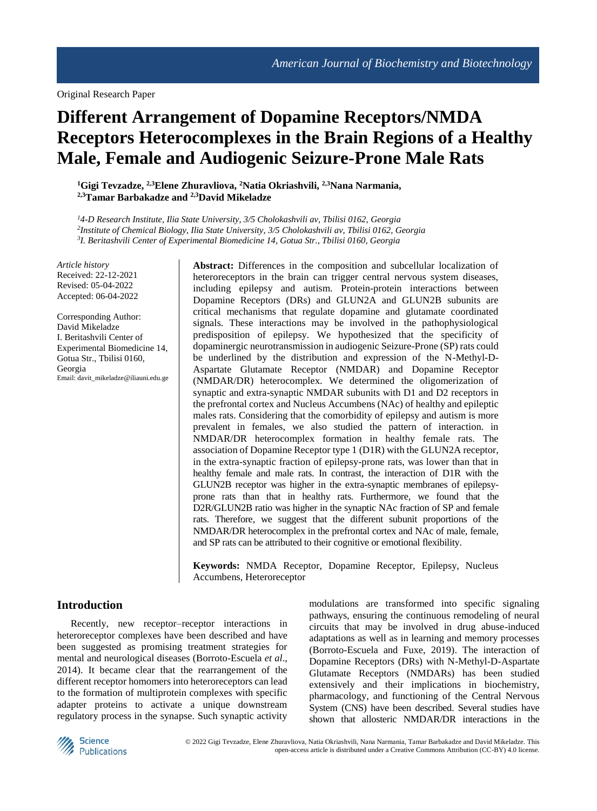# **Different Arrangement of Dopamine Receptors/NMDA Receptors Heterocomplexes in the Brain Regions of a Healthy Male, Female and Audiogenic Seizure-Prone Male Rats**

**<sup>1</sup>Gigi Tevzadze, 2,3Elene Zhuravliova, <sup>2</sup>Natia Okriashvili, 2,3Nana Narmania, 2,3Tamar Barbakadze and 2,3David Mikeladze**

*<sup>1</sup>4-D Research Institute, Ilia State University, 3/5 Cholokashvili av, Tbilisi 0162, Georgia 2 Institute of Chemical Biology, Ilia State University, 3/5 Cholokashvili av, Tbilisi 0162, Georgia 3 I. Beritashvili Center of Experimental Biomedicine 14, Gotua Str., Tbilisi 0160, Georgia*

*Article history* Received: 22-12-2021 Revised: 05-04-2022 Accepted: 06-04-2022

Corresponding Author: David Mikeladze I. Beritashvili Center of Experimental Biomedicine 14, Gotua Str., Tbilisi 0160, Georgia Email: davit\_mikeladze@iliauni.edu.ge **Abstract:** Differences in the composition and subcellular localization of heteroreceptors in the brain can trigger central nervous system diseases, including epilepsy and autism. Protein-protein interactions between Dopamine Receptors (DRs) and GLUN2A and GLUN2B subunits are critical mechanisms that regulate dopamine and glutamate coordinated signals. These interactions may be involved in the pathophysiological predisposition of epilepsy. We hypothesized that the specificity of dopaminergic neurotransmission in audiogenic Seizure-Prone (SP) rats could be underlined by the distribution and expression of the N-Methyl-D-Aspartate Glutamate Receptor (NMDAR) and Dopamine Receptor (NMDAR/DR) heterocomplex. We determined the oligomerization of synaptic and extra-synaptic NMDAR subunits with D1 and D2 receptors in the prefrontal cortex and Nucleus Accumbens (NAc) of healthy and epileptic males rats. Considering that the comorbidity of epilepsy and autism is more prevalent in females, we also studied the pattern of interaction. in NMDAR/DR heterocomplex formation in healthy female rats. The association of Dopamine Receptor type 1 (D1R) with the GLUN2A receptor, in the extra-synaptic fraction of epilepsy-prone rats, was lower than that in healthy female and male rats. In contrast, the interaction of D1R with the GLUN2B receptor was higher in the extra-synaptic membranes of epilepsyprone rats than that in healthy rats. Furthermore, we found that the D2R/GLUN2B ratio was higher in the synaptic NAc fraction of SP and female rats. Therefore, we suggest that the different subunit proportions of the NMDAR/DR heterocomplex in the prefrontal cortex and NAc of male, female, and SP rats can be attributed to their cognitive or emotional flexibility.

**Keywords:** NMDA Receptor, Dopamine Receptor, Epilepsy, Nucleus Accumbens, Heteroreceptor

#### **Introduction**

Recently, new receptor–receptor interactions in heteroreceptor complexes have been described and have been suggested as promising treatment strategies for mental and neurological diseases (Borroto-Escuela *et al*., 2014). It became clear that the rearrangement of the different receptor homomers into heteroreceptors can lead to the formation of multiprotein complexes with specific adapter proteins to activate a unique downstream regulatory process in the synapse. Such synaptic activity modulations are transformed into specific signaling pathways, ensuring the continuous remodeling of neural circuits that may be involved in drug abuse-induced adaptations as well as in learning and memory processes (Borroto-Escuela and Fuxe, 2019). The interaction of Dopamine Receptors (DRs) with N-Methyl-D-Aspartate Glutamate Receptors (NMDARs) has been studied extensively and their implications in biochemistry, pharmacology, and functioning of the Central Nervous System (CNS) have been described. Several studies have shown that allosteric NMDAR/DR interactions in the

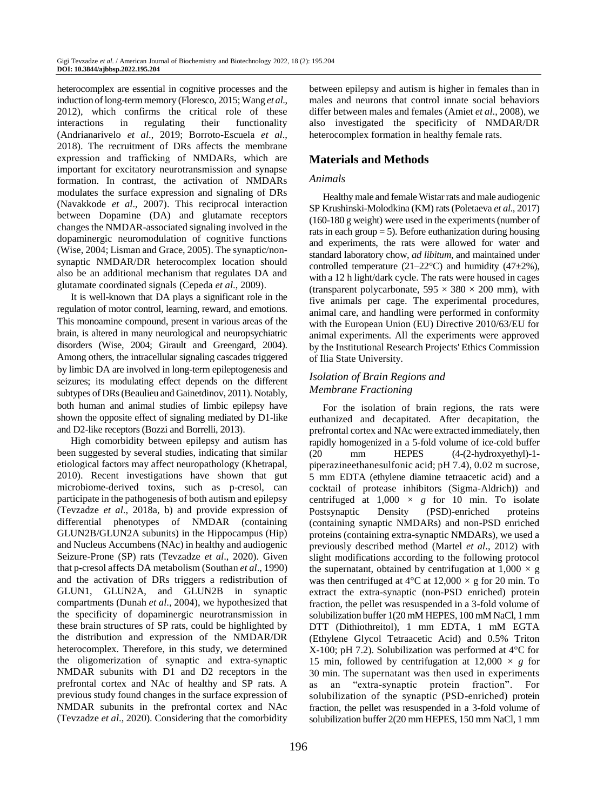heterocomplex are essential in cognitive processes and the induction of long-term memory (Floresco, 2015; Wang *et al*., 2012), which confirms the critical role of these interactions in regulating their functionality (Andrianarivelo *et al*., 2019; Borroto-Escuela *et al*., 2018). The recruitment of DRs affects the membrane expression and trafficking of NMDARs, which are important for excitatory neurotransmission and synapse formation. In contrast, the activation of NMDARs modulates the surface expression and signaling of DRs (Navakkode *et al*., 2007). This reciprocal interaction between Dopamine (DA) and glutamate receptors changes the NMDAR-associated signaling involved in the dopaminergic neuromodulation of cognitive functions (Wise, 2004; Lisman and Grace, 2005). The synaptic/nonsynaptic NMDAR/DR heterocomplex location should also be an additional mechanism that regulates DA and glutamate coordinated signals (Cepeda *et al*., 2009).

It is well-known that DA plays a significant role in the regulation of motor control, learning, reward, and emotions. This monoamine compound, present in various areas of the brain, is altered in many neurological and neuropsychiatric disorders (Wise, 2004; Girault and Greengard, 2004). Among others, the intracellular signaling cascades triggered by limbic DA are involved in long-term epileptogenesis and seizures; its modulating effect depends on the different subtypes of DRs(Beaulieu and Gainetdinov, 2011). Notably, both human and animal studies of limbic epilepsy have shown the opposite effect of signaling mediated by D1-like and D2-like receptors (Bozzi and Borrelli, 2013).

High comorbidity between epilepsy and autism has been suggested by several studies, indicating that similar etiological factors may affect neuropathology (Khetrapal, 2010). Recent investigations have shown that gut microbiome-derived toxins, such as p-cresol, can participate in the pathogenesis of both autism and epilepsy (Tevzadze *et al*., 2018a, b) and provide expression of differential phenotypes of NMDAR (containing GLUN2B/GLUN2A subunits) in the Hippocampus (Hip) and Nucleus Accumbens (NAc) in healthy and audiogenic Seizure-Prone (SP) rats (Tevzadze *et al*., 2020). Given that p-cresol affects DA metabolism (Southan *et al*., 1990) and the activation of DRs triggers a redistribution of GLUN1, GLUN2A, and GLUN2B in synaptic compartments (Dunah *et al*., 2004), we hypothesized that the specificity of dopaminergic neurotransmission in these brain structures of SP rats, could be highlighted by the distribution and expression of the NMDAR/DR heterocomplex. Therefore, in this study, we determined the oligomerization of synaptic and extra-synaptic NMDAR subunits with D1 and D2 receptors in the prefrontal cortex and NAc of healthy and SP rats. A previous study found changes in the surface expression of NMDAR subunits in the prefrontal cortex and NAc (Tevzadze *et al*., 2020). Considering that the comorbidity

between epilepsy and autism is higher in females than in males and neurons that control innate social behaviors differ between males and females (Amiet *et al*., 2008), we also investigated the specificity of NMDAR/DR heterocomplex formation in healthy female rats.

# **Materials and Methods**

#### *Animals*

Healthy male and female Wistar rats and male audiogenic SP Krushinski-Molodkina (KM) rats(Poletaeva *et al*., 2017) (160-180 g weight) were used in the experiments (number of rats in each group  $= 5$ ). Before euthanization during housing and experiments, the rats were allowed for water and standard laboratory chow, *ad libitum*, and maintained under controlled temperature (21–22 $\textdegree$ C) and humidity (47 $\pm$ 2%), with a 12 h light/dark cycle. The rats were housed in cages (transparent polycarbonate,  $595 \times 380 \times 200$  mm), with five animals per cage. The experimental procedures, animal care, and handling were performed in conformity with the European Union (EU) Directive 2010/63/EU for animal experiments. All the experiments were approved by the Institutional Research Projects' Ethics Commission of Ilia State University.

# *Isolation of Brain Regions and Membrane Fractioning*

For the isolation of brain regions, the rats were euthanized and decapitated. After decapitation, the prefrontal cortex and NAc were extracted immediately, then rapidly homogenized in a 5-fold volume of ice-cold buffer (20 mm HEPES (4-(2-hydroxyethyl)-1 piperazineethanesulfonic acid; pH 7.4), 0.02 m sucrose, 5 mm EDTA (ethylene diamine tetraacetic acid) and a cocktail of protease inhibitors (Sigma-Aldrich)) and centrifuged at  $1,000 \times g$  for 10 min. To isolate Postsynaptic Density (PSD)-enriched proteins (containing synaptic NMDARs) and non-PSD enriched proteins (containing extra-synaptic NMDARs), we used a previously described method (Martel *et al*., 2012) with slight modifications according to the following protocol the supernatant, obtained by centrifugation at 1,000 *×* g was then centrifuged at  $4^{\circ}$ C at  $12,000 \times g$  for 20 min. To extract the extra-synaptic (non-PSD enriched) protein fraction, the pellet was resuspended in a 3-fold volume of solubilization buffer 1(20 mM HEPES, 100 mM NaCl, 1 mm DTT (Dithiothreitol), 1 mm EDTA, 1 mM EGTA (Ethylene Glycol Tetraacetic Acid) and 0.5% Triton X-100; pH 7.2). Solubilization was performed at 4°C for 15 min, followed by centrifugation at  $12,000 \times g$  for 30 min. The supernatant was then used in experiments as an "extra-synaptic protein fraction". For solubilization of the synaptic (PSD-enriched) protein fraction, the pellet was resuspended in a 3-fold volume of solubilization buffer 2(20 mm HEPES, 150 mm NaCl, 1 mm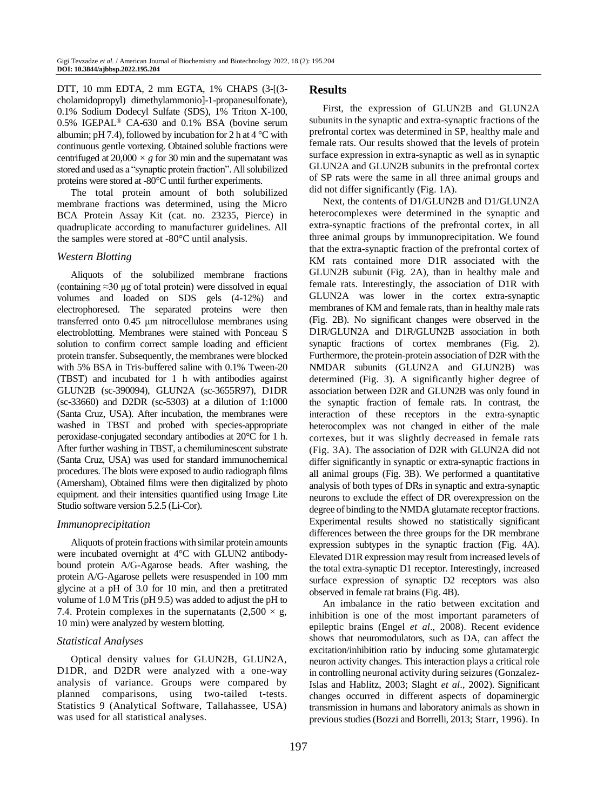DTT, 10 mm EDTA, 2 mm EGTA, 1% CHAPS (3-[(3 cholamidopropyl) dimethylammonio]-1-propanesulfonate), 0.1% Sodium Dodecyl Sulfate (SDS), 1% Triton X-100, 0.5% IGEPAL® CA-630 and 0.1% BSA (bovine serum albumin; pH 7.4), followed by incubation for 2 h at  $4^{\circ}$ C with continuous gentle vortexing. Obtained soluble fractions were centrifuged at  $20,000 \times g$  for 30 min and the supernatant was stored and used as a "synaptic protein fraction". All solubilized proteins were stored at -80°C until further experiments.

The total protein amount of both solubilized membrane fractions was determined, using the Micro BCA Protein Assay Kit (cat. no. 23235, Pierce) in quadruplicate according to manufacturer guidelines. All the samples were stored at -80°C until analysis.

#### *Western Blotting*

Aliquots of the solubilized membrane fractions (containing  $\approx$ 30 μg of total protein) were dissolved in equal volumes and loaded on SDS gels (4-12%) and electrophoresed. The separated proteins were then transferred onto 0.45 μm nitrocellulose membranes using electroblotting. Membranes were stained with Ponceau S solution to confirm correct sample loading and efficient protein transfer. Subsequently, the membranes were blocked with 5% BSA in Tris-buffered saline with 0.1% Tween-20 (TBST) and incubated for 1 h with antibodies against GLUN2B (sc-390094), GLUN2A (sc-3655R97), D1DR (sc-33660) and D2DR (sc-5303) at a dilution of 1:1000 (Santa Cruz, USA). After incubation, the membranes were washed in TBST and probed with species-appropriate peroxidase-conjugated secondary antibodies at 20°C for 1 h. After further washing in TBST, a chemiluminescent substrate (Santa Cruz, USA) was used for standard immunochemical procedures. The blots were exposed to audio radiograph films (Amersham), Obtained films were then digitalized by photo equipment. and their intensities quantified using Image Lite Studio software version 5.2.5 (Li-Cor).

#### *Immunoprecipitation*

Aliquots of protein fractions with similar protein amounts were incubated overnight at 4°C with GLUN2 antibodybound protein A/G-Agarose beads. After washing, the protein A/G-Agarose pellets were resuspended in 100 mm glycine at a pH of 3.0 for 10 min, and then a pretitrated volume of 1.0 M Tris (pH 9.5) was added to adjust the pH to 7.4. Protein complexes in the supernatants  $(2,500 \times g)$ , 10 min) were analyzed by western blotting.

#### *Statistical Analyses*

Optical density values for GLUN2B, GLUN2A, D1DR, and D2DR were analyzed with a one-way analysis of variance. Groups were compared by planned comparisons, using two-tailed t-tests. Statistics 9 (Analytical Software, Tallahassee, USA) was used for all statistical analyses.

#### **Results**

First, the expression of GLUN2B and GLUN2A subunits in the synaptic and extra-synaptic fractions of the prefrontal cortex was determined in SP, healthy male and female rats. Our results showed that the levels of protein surface expression in extra-synaptic as well as in synaptic GLUN2A and GLUN2B subunits in the prefrontal cortex of SP rats were the same in all three animal groups and did not differ significantly (Fig. 1A).

Next, the contents of D1/GLUN2B and D1/GLUN2A heterocomplexes were determined in the synaptic and extra-synaptic fractions of the prefrontal cortex, in all three animal groups by immunoprecipitation. We found that the extra-synaptic fraction of the prefrontal cortex of KM rats contained more D1R associated with the GLUN2B subunit (Fig. 2A), than in healthy male and female rats. Interestingly, the association of D1R with GLUN2A was lower in the cortex extra-synaptic membranes of KM and female rats, than in healthy male rats (Fig. 2B). No significant changes were observed in the D1R/GLUN2A and D1R/GLUN2B association in both synaptic fractions of cortex membranes (Fig. 2). Furthermore, the protein-protein association of D2R with the NMDAR subunits (GLUN2A and GLUN2B) was determined (Fig. 3). A significantly higher degree of association between D2R and GLUN2B was only found in the synaptic fraction of female rats. In contrast, the interaction of these receptors in the extra-synaptic heterocomplex was not changed in either of the male cortexes, but it was slightly decreased in female rats (Fig. 3A). The association of D2R with GLUN2A did not differ significantly in synaptic or extra-synaptic fractions in all animal groups (Fig. 3B). We performed a quantitative analysis of both types of DRs in synaptic and extra-synaptic neurons to exclude the effect of DR overexpression on the degree of binding to the NMDA glutamate receptor fractions. Experimental results showed no statistically significant differences between the three groups for the DR membrane expression subtypes in the synaptic fraction (Fig. 4A). Elevated D1R expression may result from increased levels of the total extra-synaptic D1 receptor. Interestingly, increased surface expression of synaptic D2 receptors was also observed in female rat brains (Fig. 4B).

An imbalance in the ratio between excitation and inhibition is one of the most important parameters of epileptic brains (Engel *et al*., 2008). Recent evidence shows that neuromodulators, such as DA, can affect the excitation/inhibition ratio by inducing some glutamatergic neuron activity changes. This interaction plays a critical role in controlling neuronal activity during seizures (Gonzalez-Islas and Hablitz, 2003; Slaght *et al*., 2002). Significant changes occurred in different aspects of dopaminergic transmission in humans and laboratory animals as shown in previous studies(Bozzi and Borrelli, 2013; Starr, 1996). In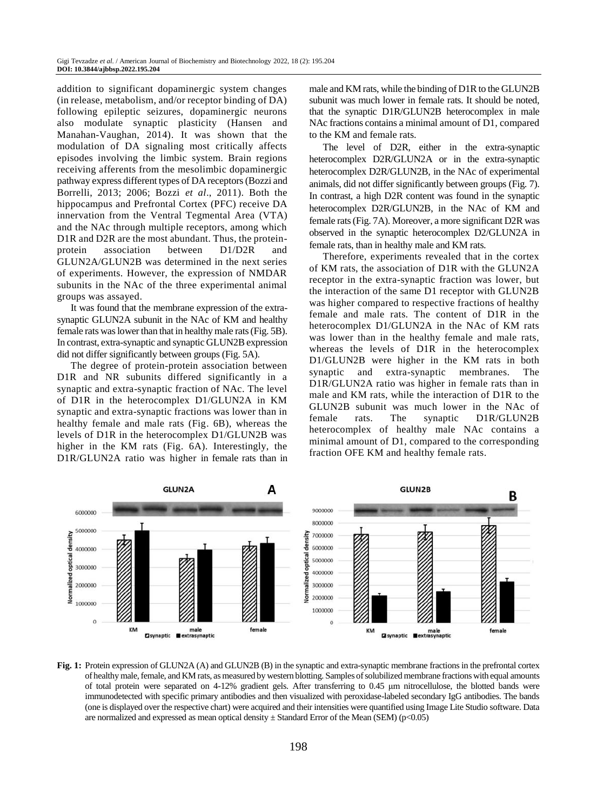addition to significant dopaminergic system changes (in release, metabolism, and/or receptor binding of DA) following epileptic seizures, dopaminergic neurons also modulate synaptic plasticity (Hansen and Manahan-Vaughan, 2014). It was shown that the modulation of DA signaling most critically affects episodes involving the limbic system. Brain regions receiving afferents from the mesolimbic dopaminergic pathway express different types of DA receptors(Bozzi and Borrelli, 2013; 2006; Bozzi *et al*., 2011). Both the hippocampus and Prefrontal Cortex (PFC) receive DA innervation from the Ventral Tegmental Area (VTA) and the NAc through multiple receptors, among which D1R and D2R are the most abundant. Thus, the proteinprotein association between D1/D2R and GLUN2A/GLUN2B was determined in the next series of experiments. However, the expression of NMDAR subunits in the NAc of the three experimental animal groups was assayed.

It was found that the membrane expression of the extrasynaptic GLUN2A subunit in the NAc of KM and healthy female rats was lower than that in healthy male rats (Fig. 5B). In contrast, extra-synaptic and synaptic GLUN2B expression did not differ significantly between groups (Fig. 5A).

The degree of protein-protein association between D1R and NR subunits differed significantly in a synaptic and extra-synaptic fraction of NAc. The level of D1R in the heterocomplex D1/GLUN2A in KM synaptic and extra-synaptic fractions was lower than in healthy female and male rats (Fig. 6B), whereas the levels of D1R in the heterocomplex D1/GLUN2B was higher in the KM rats (Fig. 6A). Interestingly, the D1R/GLUN2A ratio was higher in female rats than in male and KM rats, while the binding of D1R to the GLUN2B subunit was much lower in female rats. It should be noted, that the synaptic D1R/GLUN2B heterocomplex in male NAc fractions contains a minimal amount of D1, compared to the KM and female rats.

The level of D2R, either in the extra-synaptic heterocomplex D2R/GLUN2A or in the extra-synaptic heterocomplex D2R/GLUN2B, in the NAc of experimental animals, did not differ significantly between groups (Fig. 7). In contrast, a high D2R content was found in the synaptic heterocomplex D2R/GLUN2B, in the NAc of KM and female rats (Fig. 7A). Moreover, a more significant D2R was observed in the synaptic heterocomplex D2/GLUN2A in female rats, than in healthy male and KM rats.

Therefore, experiments revealed that in the cortex of KM rats, the association of D1R with the GLUN2A receptor in the extra-synaptic fraction was lower, but the interaction of the same D1 receptor with GLUN2B was higher compared to respective fractions of healthy female and male rats. The content of D1R in the heterocomplex D1/GLUN2A in the NAc of KM rats was lower than in the healthy female and male rats, whereas the levels of D1R in the heterocomplex D1/GLUN2B were higher in the KM rats in both synaptic and extra-synaptic membranes. The D1R/GLUN2A ratio was higher in female rats than in male and KM rats, while the interaction of D1R to the GLUN2B subunit was much lower in the NAc of female rats. The synaptic D1R/GLUN2B heterocomplex of healthy male NAc contains a minimal amount of D1, compared to the corresponding fraction OFE KM and healthy female rats.



**Fig. 1:** Protein expression of GLUN2A (A) and GLUN2B (B) in the synaptic and extra-synaptic membrane fractions in the prefrontal cortex of healthy male, female, and KM rats, as measured by western blotting. Samples of solubilized membrane fractions with equal amounts of total protein were separated on 4-12% gradient gels. After transferring to 0.45 μm nitrocellulose, the blotted bands were immunodetected with specific primary antibodies and then visualized with peroxidase-labeled secondary IgG antibodies. The bands (one is displayed over the respective chart) were acquired and their intensities were quantified using Image Lite Studio software. Data are normalized and expressed as mean optical density  $\pm$  Standard Error of the Mean (SEM) (p<0.05)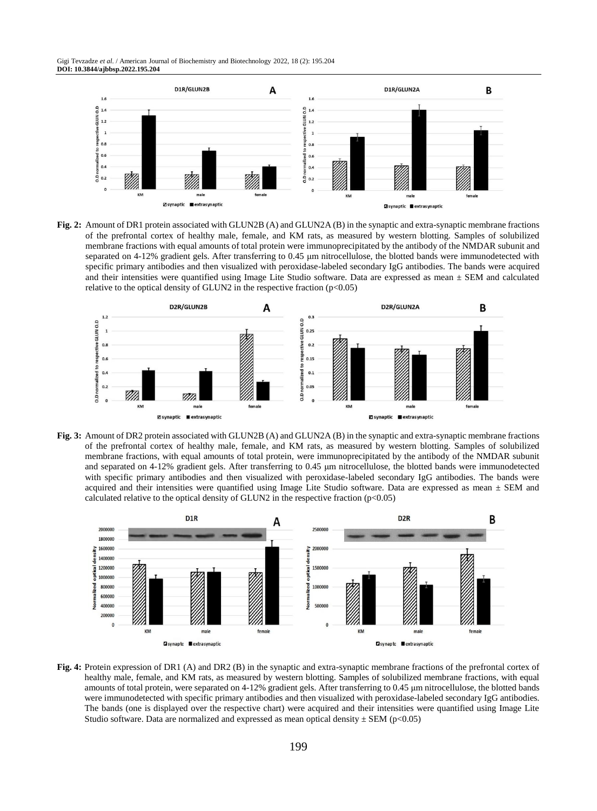Gigi Tevzadze *et al*. / American Journal of Biochemistry and Biotechnology 2022, 18 (2): 195.204 **DOI: 10.3844/ajbbsp.2022.195.204**



**Fig. 2:** Amount of DR1 protein associated with GLUN2B (A) and GLUN2A (B) in the synaptic and extra-synaptic membrane fractions of the prefrontal cortex of healthy male, female, and KM rats, as measured by western blotting. Samples of solubilized membrane fractions with equal amounts of total protein were immunoprecipitated by the antibody of the NMDAR subunit and separated on 4-12% gradient gels. After transferring to 0.45 μm nitrocellulose, the blotted bands were immunodetected with specific primary antibodies and then visualized with peroxidase-labeled secondary IgG antibodies. The bands were acquired and their intensities were quantified using Image Lite Studio software. Data are expressed as mean  $\pm$  SEM and calculated relative to the optical density of GLUN2 in the respective fraction  $(p<0.05)$ 



**Fig. 3:** Amount of DR2 protein associated with GLUN2B (A) and GLUN2A (B) in the synaptic and extra-synaptic membrane fractions of the prefrontal cortex of healthy male, female, and KM rats, as measured by western blotting. Samples of solubilized membrane fractions, with equal amounts of total protein, were immunoprecipitated by the antibody of the NMDAR subunit and separated on 4-12% gradient gels. After transferring to 0.45 μm nitrocellulose, the blotted bands were immunodetected with specific primary antibodies and then visualized with peroxidase-labeled secondary IgG antibodies. The bands were acquired and their intensities were quantified using Image Lite Studio software. Data are expressed as mean ± SEM and calculated relative to the optical density of GLUN2 in the respective fraction  $(p<0.05)$ 



**Fig. 4:** Protein expression of DR1 (A) and DR2 (B) in the synaptic and extra-synaptic membrane fractions of the prefrontal cortex of healthy male, female, and KM rats, as measured by western blotting. Samples of solubilized membrane fractions, with equal amounts of total protein, were separated on 4-12% gradient gels. After transferring to 0.45 μm nitrocellulose, the blotted bands were immunodetected with specific primary antibodies and then visualized with peroxidase-labeled secondary IgG antibodies. The bands (one is displayed over the respective chart) were acquired and their intensities were quantified using Image Lite Studio software. Data are normalized and expressed as mean optical density  $\pm$  SEM (p<0.05)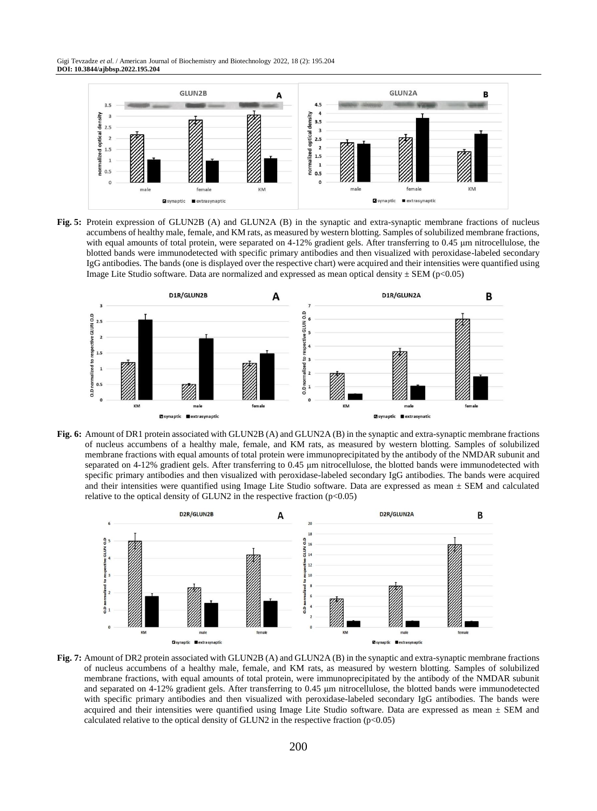Gigi Tevzadze *et al*. / American Journal of Biochemistry and Biotechnology 2022, 18 (2): 195.204 **DOI: 10.3844/ajbbsp.2022.195.204**



**Fig. 5:** Protein expression of GLUN2B (A) and GLUN2A (B) in the synaptic and extra-synaptic membrane fractions of nucleus accumbens of healthy male, female, and KM rats, as measured by western blotting. Samples of solubilized membrane fractions, with equal amounts of total protein, were separated on 4-12% gradient gels. After transferring to 0.45 μm nitrocellulose, the blotted bands were immunodetected with specific primary antibodies and then visualized with peroxidase-labeled secondary IgG antibodies. The bands (one is displayed over the respective chart) were acquired and their intensities were quantified using Image Lite Studio software. Data are normalized and expressed as mean optical density  $\pm$  SEM (p<0.05)



**Fig. 6:** Amount of DR1 protein associated with GLUN2B (A) and GLUN2A (B) in the synaptic and extra-synaptic membrane fractions of nucleus accumbens of a healthy male, female, and KM rats, as measured by western blotting. Samples of solubilized membrane fractions with equal amounts of total protein were immunoprecipitated by the antibody of the NMDAR subunit and separated on 4-12% gradient gels. After transferring to 0.45 μm nitrocellulose, the blotted bands were immunodetected with specific primary antibodies and then visualized with peroxidase-labeled secondary IgG antibodies. The bands were acquired and their intensities were quantified using Image Lite Studio software. Data are expressed as mean  $\pm$  SEM and calculated relative to the optical density of GLUN2 in the respective fraction  $(p<0.05)$ 



**Fig. 7:** Amount of DR2 protein associated with GLUN2B (A) and GLUN2A (B) in the synaptic and extra-synaptic membrane fractions of nucleus accumbens of a healthy male, female, and KM rats, as measured by western blotting. Samples of solubilized membrane fractions, with equal amounts of total protein, were immunoprecipitated by the antibody of the NMDAR subunit and separated on 4-12% gradient gels. After transferring to 0.45 μm nitrocellulose, the blotted bands were immunodetected with specific primary antibodies and then visualized with peroxidase-labeled secondary IgG antibodies. The bands were acquired and their intensities were quantified using Image Lite Studio software. Data are expressed as mean  $\pm$  SEM and calculated relative to the optical density of GLUN2 in the respective fraction  $(p<0.05)$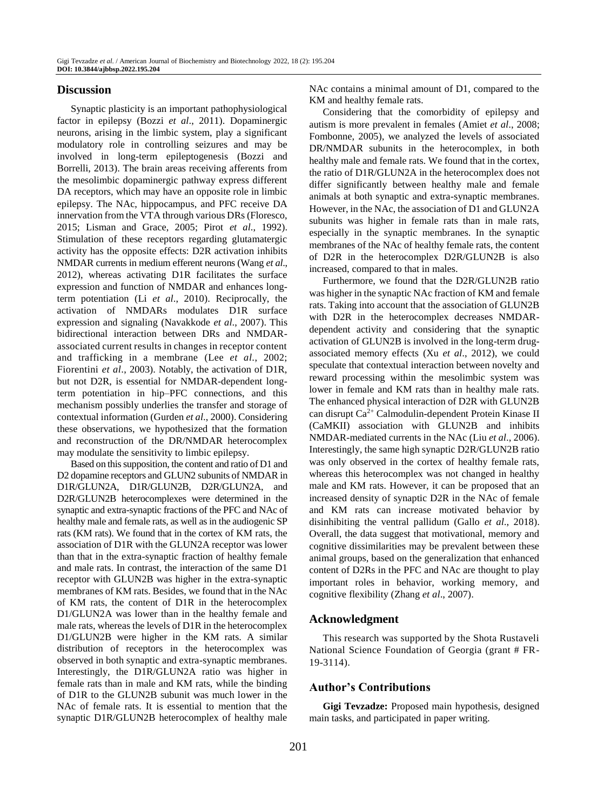#### **Discussion**

Synaptic plasticity is an important pathophysiological factor in epilepsy (Bozzi *et al*., 2011). Dopaminergic neurons, arising in the limbic system, play a significant modulatory role in controlling seizures and may be involved in long-term epileptogenesis (Bozzi and Borrelli, 2013). The brain areas receiving afferents from the mesolimbic dopaminergic pathway express different DA receptors, which may have an opposite role in limbic epilepsy. The NAc, hippocampus, and PFC receive DA innervation from the VTA through various DRs (Floresco, 2015; Lisman and Grace, 2005; Pirot *et al*., 1992). Stimulation of these receptors regarding glutamatergic activity has the opposite effects: D2R activation inhibits NMDAR currents in medium efferent neurons (Wang *et al*., 2012), whereas activating D1R facilitates the surface expression and function of NMDAR and enhances longterm potentiation (Li *et al*., 2010). Reciprocally, the activation of NMDARs modulates D1R surface expression and signaling (Navakkode *et al*., 2007). This bidirectional interaction between DRs and NMDARassociated current results in changes in receptor content and trafficking in a membrane (Lee *et al*., 2002; Fiorentini *et al*., 2003). Notably, the activation of D1R, but not D2R, is essential for NMDAR-dependent longterm potentiation in hip–PFC connections, and this mechanism possibly underlies the transfer and storage of contextual information (Gurden *et al*., 2000). Considering these observations, we hypothesized that the formation and reconstruction of the DR/NMDAR heterocomplex may modulate the sensitivity to limbic epilepsy.

Based on this supposition, the content and ratio of D1 and D2 dopamine receptors and GLUN2 subunits of NMDAR in D1R/GLUN2A, D1R/GLUN2B, D2R/GLUN2A, and D2R/GLUN2B heterocomplexes were determined in the synaptic and extra-synaptic fractions of the PFC and NAc of healthy male and female rats, as well as in the audiogenic SP rats (KM rats). We found that in the cortex of KM rats, the association of D1R with the GLUN2A receptor was lower than that in the extra-synaptic fraction of healthy female and male rats. In contrast, the interaction of the same D1 receptor with GLUN2B was higher in the extra-synaptic membranes of KM rats. Besides, we found that in the NAc of KM rats, the content of D1R in the heterocomplex D1/GLUN2A was lower than in the healthy female and male rats, whereas the levels of D1R in the heterocomplex D1/GLUN2B were higher in the KM rats. A similar distribution of receptors in the heterocomplex was observed in both synaptic and extra-synaptic membranes. Interestingly, the D1R/GLUN2A ratio was higher in female rats than in male and KM rats, while the binding of D1R to the GLUN2B subunit was much lower in the NAc of female rats. It is essential to mention that the synaptic D1R/GLUN2B heterocomplex of healthy male NAc contains a minimal amount of D1, compared to the KM and healthy female rats.

Considering that the comorbidity of epilepsy and autism is more prevalent in females (Amiet *et al*., 2008; Fombonne, 2005), we analyzed the levels of associated DR/NMDAR subunits in the heterocomplex, in both healthy male and female rats. We found that in the cortex, the ratio of D1R/GLUN2A in the heterocomplex does not differ significantly between healthy male and female animals at both synaptic and extra-synaptic membranes. However, in the NAc, the association of D1 and GLUN2A subunits was higher in female rats than in male rats, especially in the synaptic membranes. In the synaptic membranes of the NAc of healthy female rats, the content of D2R in the heterocomplex D2R/GLUN2B is also increased, compared to that in males.

Furthermore, we found that the D2R/GLUN2B ratio was higher in the synaptic NAc fraction of KM and female rats. Taking into account that the association of GLUN2B with D2R in the heterocomplex decreases NMDARdependent activity and considering that the synaptic activation of GLUN2B is involved in the long-term drugassociated memory effects (Xu *et al*., 2012), we could speculate that contextual interaction between novelty and reward processing within the mesolimbic system was lower in female and KM rats than in healthy male rats. The enhanced physical interaction of D2R with GLUN2B can disrupt Ca2+ Calmodulin-dependent Protein Kinase II (CaMKII) association with GLUN2B and inhibits NMDAR-mediated currents in the NAc (Liu *et al*., 2006). Interestingly, the same high synaptic D2R/GLUN2B ratio was only observed in the cortex of healthy female rats, whereas this heterocomplex was not changed in healthy male and KM rats. However, it can be proposed that an increased density of synaptic D2R in the NAc of female and KM rats can increase motivated behavior by disinhibiting the ventral pallidum (Gallo *et al*., 2018). Overall, the data suggest that motivational, memory and cognitive dissimilarities may be prevalent between these animal groups, based on the generalization that enhanced content of D2Rs in the PFC and NAc are thought to play important roles in behavior, working memory, and cognitive flexibility (Zhang *et al*., 2007).

#### **Acknowledgment**

This research was supported by the Shota Rustaveli National Science Foundation of Georgia (grant # FR-19-3114).

# **Author's Contributions**

**Gigi Tevzadze:** Proposed main hypothesis, designed main tasks, and participated in paper writing.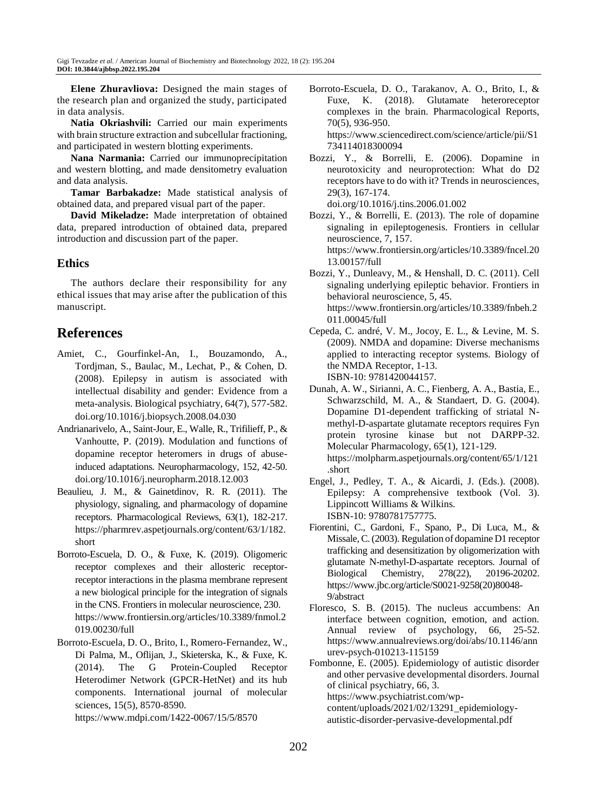**Elene Zhuravliova:** Designed the main stages of the research plan and organized the study, participated in data analysis.

**Natia Okriashvili:** Carried our main experiments with brain structure extraction and subcellular fractioning, and participated in western blotting experiments.

**Nana Narmania:** Carried our immunoprecipitation and western blotting, and made densitometry evaluation and data analysis.

**Tamar Barbakadze:** Made statistical analysis of obtained data, and prepared visual part of the paper.

**David Mikeladze:** Made interpretation of obtained data, prepared introduction of obtained data, prepared introduction and discussion part of the paper.

# **Ethics**

The authors declare their responsibility for any ethical issues that may arise after the publication of this manuscript.

# **References**

- Amiet, C., Gourfinkel-An, I., Bouzamondo, A., Tordjman, S., Baulac, M., Lechat, P., & Cohen, D. (2008). Epilepsy in autism is associated with intellectual disability and gender: Evidence from a meta-analysis. Biological psychiatry, 64(7), 577-582. doi.org/10.1016/j.biopsych.2008.04.030
- Andrianarivelo, A., Saint-Jour, E., Walle, R., Trifilieff, P., & Vanhoutte, P. (2019). Modulation and functions of dopamine receptor heteromers in drugs of abuseinduced adaptations. Neuropharmacology, 152, 42-50. doi.org/10.1016/j.neuropharm.2018.12.003
- Beaulieu, J. M., & Gainetdinov, R. R. (2011). The physiology, signaling, and pharmacology of dopamine receptors. Pharmacological Reviews, 63(1), 182-217. https://pharmrev.aspetjournals.org/content/63/1/182. short
- Borroto-Escuela, D. O., & Fuxe, K. (2019). Oligomeric receptor complexes and their allosteric receptorreceptor interactions in the plasma membrane represent a new biological principle for the integration of signals in the CNS. Frontiers in molecular neuroscience, 230. https://www.frontiersin.org/articles/10.3389/fnmol.2 019.00230/full
- Borroto-Escuela, D. O., Brito, I., Romero-Fernandez, W., Di Palma, M., Oflijan, J., Skieterska, K., & Fuxe, K. (2014). The G Protein-Coupled Receptor Heterodimer Network (GPCR-HetNet) and its hub components. International journal of molecular sciences, 15(5), 8570-8590.

https://www.mdpi.com/1422-0067/15/5/8570

Borroto-Escuela, D. O., Tarakanov, A. O., Brito, I., & Fuxe, K. (2018). Glutamate heteroreceptor complexes in the brain. Pharmacological Reports, 70(5), 936-950.

https://www.sciencedirect.com/science/article/pii/S1 734114018300094

Bozzi, Y., & Borrelli, E. (2006). Dopamine in neurotoxicity and neuroprotection: What do D2 receptors have to do with it? Trends in neurosciences, 29(3), 167-174.

doi.org/10.1016/j.tins.2006.01.002

- Bozzi, Y., & Borrelli, E. (2013). The role of dopamine signaling in epileptogenesis. Frontiers in cellular neuroscience, 7, 157. https://www.frontiersin.org/articles/10.3389/fncel.20 13.00157/full
- Bozzi, Y., Dunleavy, M., & Henshall, D. C. (2011). Cell signaling underlying epileptic behavior. Frontiers in behavioral neuroscience, 5, 45. https://www.frontiersin.org/articles/10.3389/fnbeh.2 011.00045/full
- Cepeda, C. andré, V. M., Jocoy, E. L., & Levine, M. S. (2009). NMDA and dopamine: Diverse mechanisms applied to interacting receptor systems. Biology of the NMDA Receptor, 1-13. ISBN-10: 9781420044157.
- Dunah, A. W., Sirianni, A. C., Fienberg, A. A., Bastia, E., Schwarzschild, M. A., & Standaert, D. G. (2004). Dopamine D1-dependent trafficking of striatal Nmethyl-D-aspartate glutamate receptors requires Fyn protein tyrosine kinase but not DARPP-32. Molecular Pharmacology, 65(1), 121-129. https://molpharm.aspetjournals.org/content/65/1/121 .short
- Engel, J., Pedley, T. A., & Aicardi, J. (Eds.). (2008). Epilepsy: A comprehensive textbook (Vol. 3). Lippincott Williams & Wilkins. ISBN-10: 9780781757775.
- Fiorentini, C., Gardoni, F., Spano, P., Di Luca, M., & Missale, C. (2003). Regulation of dopamine D1 receptor trafficking and desensitization by oligomerization with glutamate N-methyl-D-aspartate receptors. Journal of Biological Chemistry, 278(22), 20196-20202. https://www.jbc.org/article/S0021-9258(20)80048- 9/abstract
- Floresco, S. B. (2015). The nucleus accumbens: An interface between cognition, emotion, and action. Annual review of psychology, 66, 25-52. https://www.annualreviews.org/doi/abs/10.1146/ann urev-psych-010213-115159
- Fombonne, E. (2005). Epidemiology of autistic disorder and other pervasive developmental disorders. Journal of clinical psychiatry, 66, 3. https://www.psychiatrist.com/wpcontent/uploads/2021/02/13291\_epidemiology-

autistic-disorder-pervasive-developmental.pdf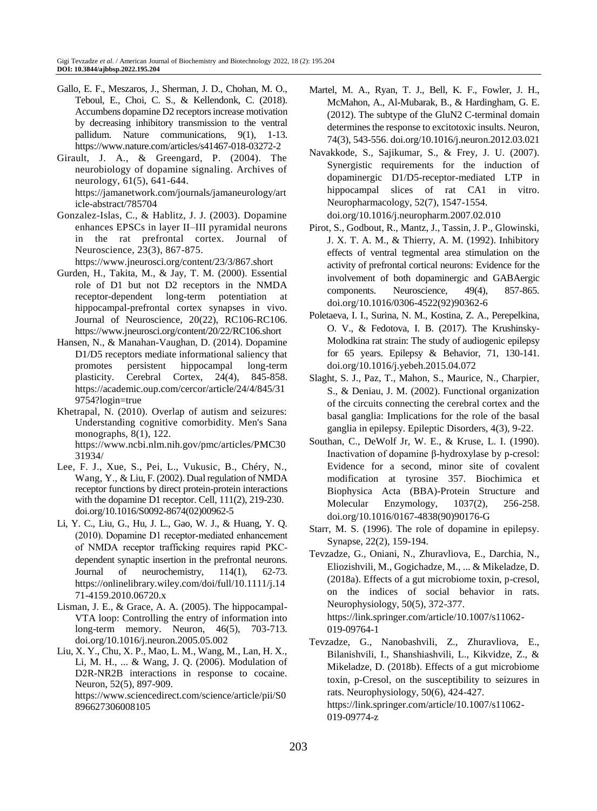- Gallo, E. F., Meszaros, J., Sherman, J. D., Chohan, M. O., Teboul, E., Choi, C. S., & Kellendonk, C. (2018). Accumbens dopamine D2 receptors increase motivation by decreasing inhibitory transmission to the ventral pallidum. Nature communications, 9(1), 1-13. https://www.nature.com/articles/s41467-018-03272-2
- Girault, J. A., & Greengard, P. (2004). The neurobiology of dopamine signaling. Archives of neurology, 61(5), 641-644. https://jamanetwork.com/journals/jamaneurology/art icle-abstract/785704
- Gonzalez-Islas, C., & Hablitz, J. J. (2003). Dopamine enhances EPSCs in layer II–III pyramidal neurons in the rat prefrontal cortex. Journal of Neuroscience, 23(3), 867-875. https://www.jneurosci.org/content/23/3/867.short
- Gurden, H., Takita, M., & Jay, T. M. (2000). Essential role of D1 but not D2 receptors in the NMDA receptor-dependent long-term potentiation at hippocampal-prefrontal cortex synapses in vivo. Journal of Neuroscience, 20(22), RC106-RC106. https://www.jneurosci.org/content/20/22/RC106.short
- Hansen, N., & Manahan-Vaughan, D. (2014). Dopamine D1/D5 receptors mediate informational saliency that promotes persistent hippocampal long-term plasticity. Cerebral Cortex, 24(4), 845-858. https://academic.oup.com/cercor/article/24/4/845/31 9754?login=true
- Khetrapal, N. (2010). Overlap of autism and seizures: Understanding cognitive comorbidity. Men's Sana monographs, 8(1), 122. https://www.ncbi.nlm.nih.gov/pmc/articles/PMC30 31934/
- Lee, F. J., Xue, S., Pei, L., Vukusic, B., Chéry, N., Wang, Y., & Liu, F. (2002). Dual regulation of NMDA receptor functions by direct protein-protein interactions with the dopamine D1 receptor. Cell, 111(2), 219-230. doi.org/10.1016/S0092-8674(02)00962-5
- Li, Y. C., Liu, G., Hu, J. L., Gao, W. J., & Huang, Y. Q. (2010). Dopamine D1 receptor‐mediated enhancement of NMDA receptor trafficking requires rapid PKC‐ dependent synaptic insertion in the prefrontal neurons. Journal of neurochemistry, 114(1), 62-73. https://onlinelibrary.wiley.com/doi/full/10.1111/j.14 71-4159.2010.06720.x
- Lisman, J. E., & Grace, A. A. (2005). The hippocampal-VTA loop: Controlling the entry of information into long-term memory. Neuron, 46(5), 703-713. doi.org/10.1016/j.neuron.2005.05.002
- Liu, X. Y., Chu, X. P., Mao, L. M., Wang, M., Lan, H. X., Li, M. H., ... & Wang, J. Q. (2006). Modulation of D2R-NR2B interactions in response to cocaine. Neuron, 52(5), 897-909. https://www.sciencedirect.com/science/article/pii/S0

896627306008105

- Martel, M. A., Ryan, T. J., Bell, K. F., Fowler, J. H., McMahon, A., Al-Mubarak, B., & Hardingham, G. E. (2012). The subtype of the GluN2 C-terminal domain determines the response to excitotoxic insults. Neuron, 74(3), 543-556. doi.org/10.1016/j.neuron.2012.03.021
- Navakkode, S., Sajikumar, S., & Frey, J. U. (2007). Synergistic requirements for the induction of dopaminergic D1/D5-receptor-mediated LTP in hippocampal slices of rat CA1 in vitro. Neuropharmacology, 52(7), 1547-1554. doi.org/10.1016/j.neuropharm.2007.02.010
- Pirot, S., Godbout, R., Mantz, J., Tassin, J. P., Glowinski, J. X. T. A. M., & Thierry, A. M. (1992). Inhibitory effects of ventral tegmental area stimulation on the activity of prefrontal cortical neurons: Evidence for the involvement of both dopaminergic and GABAergic components. Neuroscience, 49(4), 857-865. doi.org/10.1016/0306-4522(92)90362-6
- Poletaeva, I. I., Surina, N. M., Kostina, Z. A., Perepelkina, O. V., & Fedotova, I. B. (2017). The Krushinsky-Molodkina rat strain: The study of audiogenic epilepsy for 65 years. Epilepsy & Behavior, 71, 130-141. doi.org/10.1016/j.yebeh.2015.04.072
- Slaght, S. J., Paz, T., Mahon, S., Maurice, N., Charpier, S., & Deniau, J. M. (2002). Functional organization of the circuits connecting the cerebral cortex and the basal ganglia: Implications for the role of the basal ganglia in epilepsy. Epileptic Disorders, 4(3), 9-22.
- Southan, C., DeWolf Jr, W. E., & Kruse, L. I. (1990). Inactivation of dopamine β-hydroxylase by p-cresol: Evidence for a second, minor site of covalent modification at tyrosine 357. Biochimica et Biophysica Acta (BBA)-Protein Structure and Molecular Enzymology, 1037(2), 256-258. doi.org/10.1016/0167-4838(90)90176-G
- Starr, M. S. (1996). The role of dopamine in epilepsy. Synapse, 22(2), 159-194.
- Tevzadze, G., Oniani, N., Zhuravliova, E., Darchia, N., Eliozishvili, M., Gogichadze, M., ... & Mikeladze, D. (2018a). Effects of a gut microbiome toxin, p-cresol, on the indices of social behavior in rats. Neurophysiology, 50(5), 372-377. https://link.springer.com/article/10.1007/s11062- 019-09764-1
- Tevzadze, G., Nanobashvili, Z., Zhuravliova, E., Bilanishvili, I., Shanshiashvili, L., Kikvidze, Z., & Mikeladze, D. (2018b). Effects of a gut microbiome toxin, p-Cresol, on the susceptibility to seizures in rats. Neurophysiology, 50(6), 424-427. https://link.springer.com/article/10.1007/s11062- 019-09774-z